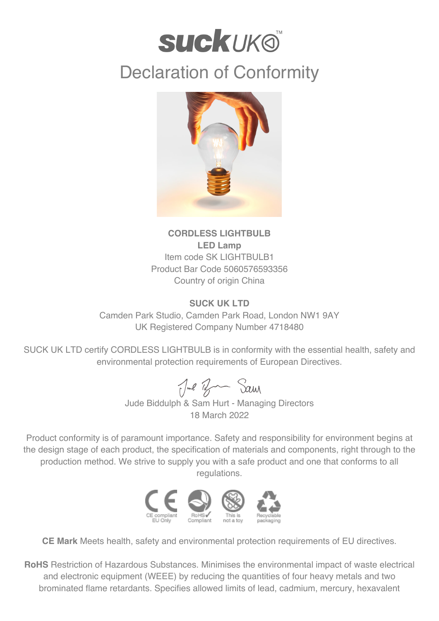

## Declaration of Conformity



## **CORDLESS LIGHTBULB LED Lamp** Item code SK LIGHTBULB1 Product Bar Code 5060576593356 Country of origin China

## **SUCK UK LTD**

Camden Park Studio, Camden Park Road, London NW1 9AY UK Registered Company Number 4718480

SUCK UK LTD certify CORDLESS LIGHTBULB is in conformity with the essential health, safety and environmental protection requirements of European Directives.

Jul Ban Sam

Jude Biddulph & Sam Hurt - Managing Directors 18 March 2022

Product conformity is of paramount importance. Safety and responsibility for environment begins at the design stage of each product, the specification of materials and components, right through to the production method. We strive to supply you with a safe product and one that conforms to all regulations.



**CE Mark** Meets health, safety and environmental protection requirements of EU directives.

**RoHS** Restriction of Hazardous Substances. Minimises the environmental impact of waste electrical and electronic equipment (WEEE) by reducing the quantities of four heavy metals and two brominated flame retardants. Specifies allowed limits of lead, cadmium, mercury, hexavalent